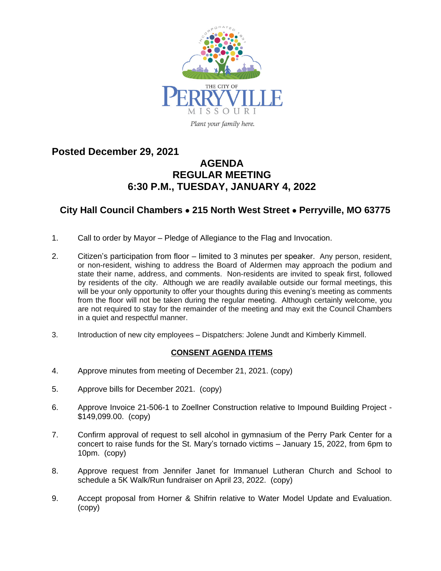

## **Posted December 29, 2021 AGENDA REGULAR MEETING 6:30 P.M., TUESDAY, JANUARY 4, 2022**

## **City Hall Council Chambers** · **215 North West Street** · **Perryville, MO 63775**

- 1. Call to order by Mayor Pledge of Allegiance to the Flag and Invocation.
- 2. Citizen's participation from floor limited to 3 minutes per speaker. Any person, resident, or non-resident, wishing to address the Board of Aldermen may approach the podium and state their name, address, and comments. Non-residents are invited to speak first, followed by residents of the city. Although we are readily available outside our formal meetings, this will be your only opportunity to offer your thoughts during this evening's meeting as comments from the floor will not be taken during the regular meeting. Although certainly welcome, you are not required to stay for the remainder of the meeting and may exit the Council Chambers in a quiet and respectful manner.
- 3. Introduction of new city employees Dispatchers: Jolene Jundt and Kimberly Kimmell.

## **CONSENT AGENDA ITEMS**

- 4. Approve minutes from meeting of December 21, 2021. (copy)
- 5. Approve bills for December 2021. (copy)
- 6. Approve Invoice 21-506-1 to Zoellner Construction relative to Impound Building Project \$149,099.00. (copy)
- 7. Confirm approval of request to sell alcohol in gymnasium of the Perry Park Center for a concert to raise funds for the St. Mary's tornado victims – January 15, 2022, from 6pm to 10pm. (copy)
- 8. Approve request from Jennifer Janet for Immanuel Lutheran Church and School to schedule a 5K Walk/Run fundraiser on April 23, 2022. (copy)
- 9. Accept proposal from Horner & Shifrin relative to Water Model Update and Evaluation. (copy)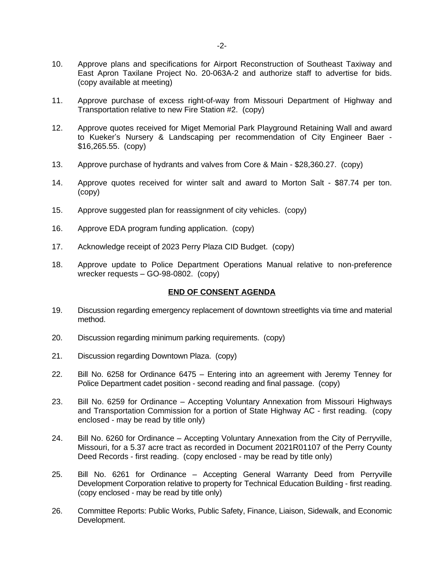- 10. Approve plans and specifications for Airport Reconstruction of Southeast Taxiway and East Apron Taxilane Project No. 20-063A-2 and authorize staff to advertise for bids. (copy available at meeting)
- 11. Approve purchase of excess right-of-way from Missouri Department of Highway and Transportation relative to new Fire Station #2. (copy)
- 12. Approve quotes received for Miget Memorial Park Playground Retaining Wall and award to Kueker's Nursery & Landscaping per recommendation of City Engineer Baer - \$16,265.55. (copy)
- 13. Approve purchase of hydrants and valves from Core & Main \$28,360.27. (copy)
- 14. Approve quotes received for winter salt and award to Morton Salt \$87.74 per ton. (copy)
- 15. Approve suggested plan for reassignment of city vehicles. (copy)
- 16. Approve EDA program funding application. (copy)
- 17. Acknowledge receipt of 2023 Perry Plaza CID Budget. (copy)
- 18. Approve update to Police Department Operations Manual relative to non-preference wrecker requests – GO-98-0802. (copy)

## **END OF CONSENT AGENDA**

- 19. Discussion regarding emergency replacement of downtown streetlights via time and material method.
- 20. Discussion regarding minimum parking requirements. (copy)
- 21. Discussion regarding Downtown Plaza. (copy)
- 22. Bill No. 6258 for Ordinance 6475 Entering into an agreement with Jeremy Tenney for Police Department cadet position - second reading and final passage. (copy)
- 23. Bill No. 6259 for Ordinance Accepting Voluntary Annexation from Missouri Highways and Transportation Commission for a portion of State Highway AC - first reading. (copy enclosed - may be read by title only)
- 24. Bill No. 6260 for Ordinance Accepting Voluntary Annexation from the City of Perryville, Missouri, for a 5.37 acre tract as recorded in Document 2021R01107 of the Perry County Deed Records - first reading. (copy enclosed - may be read by title only)
- 25. Bill No. 6261 for Ordinance Accepting General Warranty Deed from Perryville Development Corporation relative to property for Technical Education Building - first reading. (copy enclosed - may be read by title only)
- 26. Committee Reports: Public Works, Public Safety, Finance, Liaison, Sidewalk, and Economic Development.